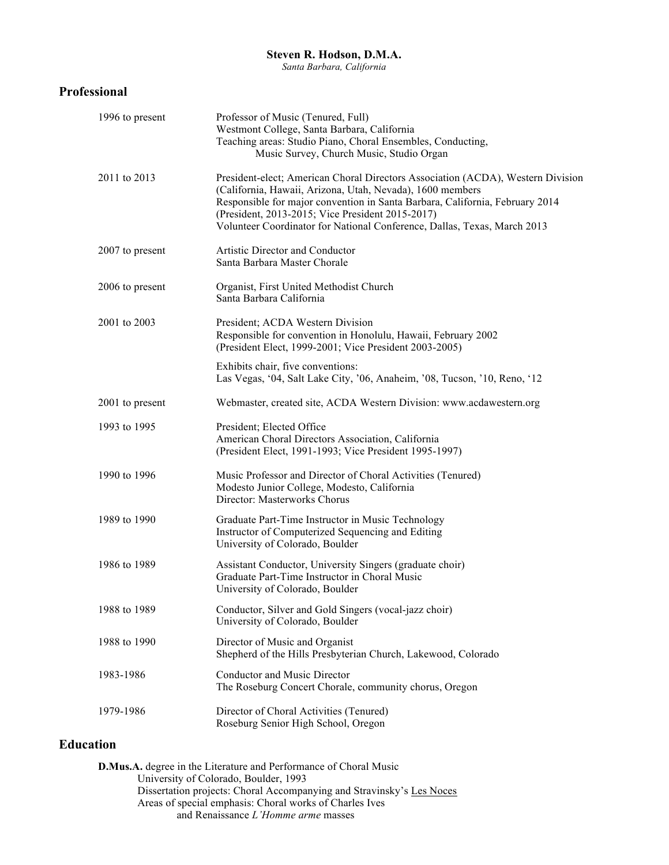# **Steven R. Hodson, D.M.A.**

*Santa Barbara, California*

# **Professional**

| 1996 to present | Professor of Music (Tenured, Full)<br>Westmont College, Santa Barbara, California<br>Teaching areas: Studio Piano, Choral Ensembles, Conducting,<br>Music Survey, Church Music, Studio Organ                                                                                                                                                                 |
|-----------------|--------------------------------------------------------------------------------------------------------------------------------------------------------------------------------------------------------------------------------------------------------------------------------------------------------------------------------------------------------------|
| 2011 to 2013    | President-elect; American Choral Directors Association (ACDA), Western Division<br>(California, Hawaii, Arizona, Utah, Nevada), 1600 members<br>Responsible for major convention in Santa Barbara, California, February 2014<br>(President, 2013-2015; Vice President 2015-2017)<br>Volunteer Coordinator for National Conference, Dallas, Texas, March 2013 |
| 2007 to present | Artistic Director and Conductor<br>Santa Barbara Master Chorale                                                                                                                                                                                                                                                                                              |
| 2006 to present | Organist, First United Methodist Church<br>Santa Barbara California                                                                                                                                                                                                                                                                                          |
| 2001 to 2003    | President; ACDA Western Division<br>Responsible for convention in Honolulu, Hawaii, February 2002<br>(President Elect, 1999-2001; Vice President 2003-2005)                                                                                                                                                                                                  |
|                 | Exhibits chair, five conventions:<br>Las Vegas, '04, Salt Lake City, '06, Anaheim, '08, Tucson, '10, Reno, '12                                                                                                                                                                                                                                               |
| 2001 to present | Webmaster, created site, ACDA Western Division: www.acdawestern.org                                                                                                                                                                                                                                                                                          |
| 1993 to 1995    | President; Elected Office<br>American Choral Directors Association, California<br>(President Elect, 1991-1993; Vice President 1995-1997)                                                                                                                                                                                                                     |
| 1990 to 1996    | Music Professor and Director of Choral Activities (Tenured)<br>Modesto Junior College, Modesto, California<br>Director: Masterworks Chorus                                                                                                                                                                                                                   |
| 1989 to 1990    | Graduate Part-Time Instructor in Music Technology<br>Instructor of Computerized Sequencing and Editing<br>University of Colorado, Boulder                                                                                                                                                                                                                    |
| 1986 to 1989    | Assistant Conductor, University Singers (graduate choir)<br>Graduate Part-Time Instructor in Choral Music<br>University of Colorado, Boulder                                                                                                                                                                                                                 |
| 1988 to 1989    | Conductor, Silver and Gold Singers (vocal-jazz choir)<br>University of Colorado, Boulder                                                                                                                                                                                                                                                                     |
| 1988 to 1990    | Director of Music and Organist<br>Shepherd of the Hills Presbyterian Church, Lakewood, Colorado                                                                                                                                                                                                                                                              |
| 1983-1986       | Conductor and Music Director<br>The Roseburg Concert Chorale, community chorus, Oregon                                                                                                                                                                                                                                                                       |
| 1979-1986       | Director of Choral Activities (Tenured)<br>Roseburg Senior High School, Oregon                                                                                                                                                                                                                                                                               |
|                 |                                                                                                                                                                                                                                                                                                                                                              |

# **Education**

**D.Mus.A.** degree in the Literature and Performance of Choral Music University of Colorado, Boulder, 1993 Dissertation projects: Choral Accompanying and Stravinsky's Les Noces Areas of special emphasis: Choral works of Charles Ives and Renaissance *L'Homme arme* masses